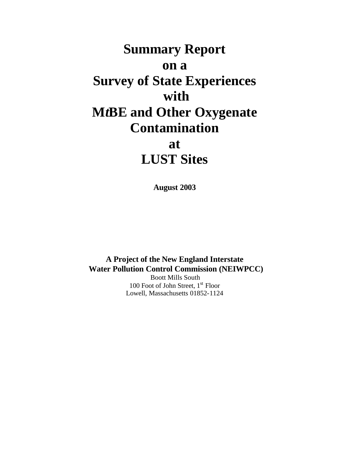# **Summary Report on a Survey of State Experiences with M***t***BE and Other Oxygenate Contamination at LUST Sites**

**August 2003**

**A Project of the New England Interstate Water Pollution Control Commission (NEIWPCC)** Boott Mills South

100 Foot of John Street,  $1<sup>st</sup>$  Floor Lowell, Massachusetts 01852-1124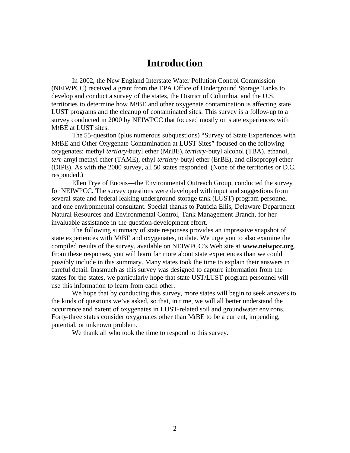### **Introduction**

In 2002, the New England Interstate Water Pollution Control Commission (NEIWPCC) received a grant from the EPA Office of Underground Storage Tanks to develop and conduct a survey of the states, the District of Columbia, and the U.S. territories to determine how M*t*BE and other oxygenate contamination is affecting state LUST programs and the cleanup of contaminated sites. This survey is a follow-up to a survey conducted in 2000 by NEIWPCC that focused mostly on state experiences with M*t*BE at LUST sites.

The 55-question (plus numerous subquestions) "Survey of State Experiences with M*t*BE and Other Oxygenate Contamination at LUST Sites" focused on the following oxygenates: methyl *tertiary-*butyl ether (M*t*BE), *tertiary*-butyl alcohol (TBA), ethanol, *tert*-amyl methyl ether (TAME), ethyl *tertiary*-butyl ether (E*t*BE), and diisopropyl ether (DIPE). As with the 2000 survey, all 50 states responded. (None of the territories or D.C. responded.)

Ellen Frye of Enosis—the Environmental Outreach Group, conducted the survey for NEIWPCC. The survey questions were developed with input and suggestions from several state and federal leaking underground storage tank (LUST) program personnel and one environmental consultant. Special thanks to Patricia Ellis, Delaware Department Natural Resources and Environmental Control, Tank Management Branch, for her invaluable assistance in the question-development effort.

The following summary of state responses provides an impressive snapshot of state experiences with M*t*BE and oxygenates, to date. We urge you to also examine the compiled results of the survey, available on NEIWPCC's Web site at **www.neiwpcc.org**. From these responses, you will learn far more about state experiences than we could possibly include in this summary. Many states took the time to explain their answers in careful detail. Inasmuch as this survey was designed to capture information from the states for the states, we particularly hope that state UST/LUST program personnel will use this information to learn from each other.

We hope that by conducting this survey, more states will begin to seek answers to the kinds of questions we've asked, so that, in time, we will all better understand the occurrence and extent of oxygenates in LUST-related soil and groundwater environs. Forty-three states consider oxygenates other than M*t*BE to be a current, impending, potential, or unknown problem.

We thank all who took the time to respond to this survey.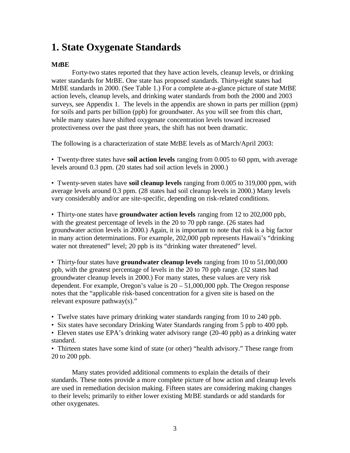# **1. State Oxygenate Standards**

#### **M***t***BE**

Forty-two states reported that they have action levels, cleanup levels, or drinking water standards for M*t*BE. One state has proposed standards. Thirty-eight states had M*t*BE standards in 2000. (See Table 1.) For a complete at-a-glance picture of state M*t*BE action levels, cleanup levels, and drinking water standards from both the 2000 and 2003 surveys, see Appendix 1. The levels in the appendix are shown in parts per million (ppm) for soils and parts per billion (ppb) for groundwater. As you will see from this chart, while many states have shifted oxygenate concentration levels toward increased protectiveness over the past three years, the shift has not been dramatic.

The following is a characterization of state M*t*BE levels as of March/April 2003:

• Twenty-three states have **soil action levels** ranging from 0.005 to 60 ppm, with average levels around 0.3 ppm. (20 states had soil action levels in 2000.)

• Twenty-seven states have **soil cleanup levels** ranging from 0.005 to 319,000 ppm, with average levels around 0.3 ppm. (28 states had soil cleanup levels in 2000.) Many levels vary considerably and/or are site-specific, depending on risk-related conditions.

• Thirty-one states have **groundwater action levels** ranging from 12 to 202,000 ppb, with the greatest percentage of levels in the 20 to 70 ppb range. (26 states had groundwater action levels in 2000.) Again, it is important to note that risk is a big factor in many action determinations. For example, 202,000 ppb represents Hawaii's "drinking water not threatened" level; 20 ppb is its "drinking water threatened" level.

• Thirty-four states have **groundwater cleanup levels** ranging from 10 to 51,000,000 ppb, with the greatest percentage of levels in the 20 to 70 ppb range. (32 states had groundwater cleanup levels in 2000.) For many states, these values are very risk dependent. For example, Oregon's value is  $20 - 51,000,000$  ppb. The Oregon response notes that the "applicable risk-based concentration for a given site is based on the relevant exposure pathway(s)."

• Twelve states have primary drinking water standards ranging from 10 to 240 ppb.

• Six states have secondary Drinking Water Standards ranging from 5 ppb to 400 ppb.

• Eleven states use EPA's drinking water advisory range (20-40 ppb) as a drinking water standard.

• Thirteen states have some kind of state (or other) "health advisory." These range from 20 to 200 ppb.

Many states provided additional comments to explain the details of their standards. These notes provide a more complete picture of how action and cleanup levels are used in remediation decision making. Fifteen states are considering making changes to their levels; primarily to either lower existing M*t*BE standards or add standards for other oxygenates.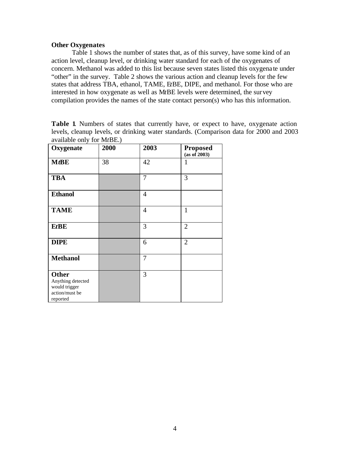#### **Other Oxygenates**

Table 1 shows the number of states that, as of this survey, have some kind of an action level, cleanup level, or drinking water standard for each of the oxygenates of concern. Methanol was added to this list because seven states listed this oxygena te under "other" in the survey. Table 2 shows the various action and cleanup levels for the few states that address TBA, ethanol, TAME, E*t*BE, DIPE, and methanol. For those who are interested in how oxygenate as well as M*t*BE levels were determined, the survey compilation provides the names of the state contact person(s) who has this information.

**Table 1**. Numbers of states that currently have, or expect to have, oxygenate action levels, cleanup levels, or drinking water standards. (Comparison data for 2000 and 2003 available only for M*t*BE.)

| Oxygenate                                                                 | 2000 | 2003           | <b>Proposed</b><br>(as of 2003) |
|---------------------------------------------------------------------------|------|----------------|---------------------------------|
| $M$ t $BE$                                                                | 38   | 42             | 1                               |
| <b>TBA</b>                                                                |      | 7              | 3                               |
| <b>Ethanol</b>                                                            |      | 4              |                                 |
| <b>TAME</b>                                                               |      | $\overline{4}$ | 1                               |
| <b>EtBE</b>                                                               |      | 3              | $\overline{2}$                  |
| <b>DIPE</b>                                                               |      | 6              | $\overline{2}$                  |
| <b>Methanol</b>                                                           |      | 7              |                                 |
| Other<br>Anything detected<br>would trigger<br>action/must be<br>reported |      | 3              |                                 |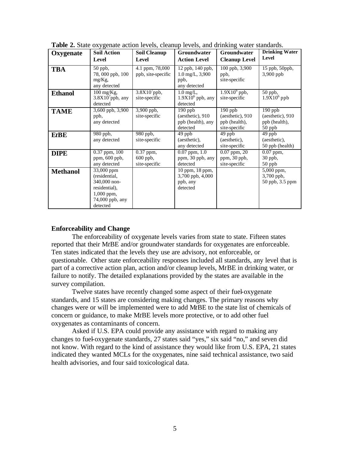| Oxygenate       | -- ס<br><b>Soil Action</b>                                                                                  | Soil Cleanup                             | Groundwater                                                           | Groundwater                                                     | <b>Drinking Water</b>                                      |
|-----------------|-------------------------------------------------------------------------------------------------------------|------------------------------------------|-----------------------------------------------------------------------|-----------------------------------------------------------------|------------------------------------------------------------|
|                 | Level                                                                                                       | Level                                    | <b>Action Level</b>                                                   | <b>Cleanup Level</b>                                            | Level                                                      |
| <b>TBA</b>      | 50 ppb,<br>78,000 ppb, 100<br>mg/Kg,<br>any detected                                                        | 4.1 ppm, 78,000<br>ppb, site-specific    | 12 ppb, 140 ppb,<br>$1.0 \text{ mg/L}, 3,900$<br>ppb,<br>any detected | 100 ppb, 3,900<br>ppb,<br>site-specific                         | 15 ppb, 50ppb,<br>3,900 ppb                                |
| <b>Ethanol</b>  | 100 mg/Kg,<br>$3.8X10^7$ ppb, any<br>detected                                                               | $3.8X107$ ppb,<br>site-specific          | $1.0 \text{ mg/L}$ ,<br>$1.9X106$ ppb, any<br>detected                | $1.9X106$ ppb,<br>site-specific                                 | $\overline{50}$ ppb,<br>$1.9X106$ ppb                      |
| <b>TAME</b>     | 3,600 ppb, $3,900$<br>ppb,<br>any detected                                                                  | $3,900$ ppb,<br>site-specific            | $190$ ppb<br>(aesthetic), 910<br>ppb (health), any<br>detected        | $190$ ppb<br>(aesthetic), 910<br>ppb (health),<br>site-specific | $190$ ppb<br>(aesthetic), 910<br>ppb (health),<br>$50$ ppb |
| EtBE            | 980 ppb,<br>any detected                                                                                    | 980 ppb,<br>site-specific                | 49 ppb<br>(aesthetic),<br>any detected                                | 49 ppb<br>(aesthetic),<br>site-specific                         | 49 ppb<br>(aesthetic),<br>50 ppb (health)                  |
| <b>DIPE</b>     | $0.37$ ppm, $100$<br>ppm, 600 ppb,<br>any detected                                                          | 0.37 ppm,<br>$600$ ppb,<br>site-specific | $0.07$ ppm, $1.0$<br>ppm, 30 ppb, any<br>detected                     | $0.07$ ppm, $20$<br>ppm, 30 ppb,<br>site-specific               | $0.07$ ppm,<br>30 ppb,<br>$50$ ppb                         |
| <b>Methanol</b> | 33,000 ppm<br>(residential,<br>340,000 non-<br>residential),<br>$1,000$ ppm,<br>74,000 ppb, any<br>detected |                                          | 10 ppm, 18 ppm,<br>3,700 ppb, 4,000<br>ppb, any<br>detected           |                                                                 | 5,000 ppm,<br>3,700 ppb,<br>50 ppb, 3.5 ppm                |

**Table 2.** State oxygenate action levels, cleanup levels, and drinking water standards.

#### **Enforceability and Change**

The enforceability of oxygenate levels varies from state to state. Fifteen states reported that their M*t*BE and/or groundwater standards for oxygenates are enforceable. Ten states indicated that the levels they use are advisory, not enforceable, or questionable. Other state enforceability responses included all standards, any level that is part of a corrective action plan, action and/or cleanup levels, M*t*BE in drinking water, or failure to notify. The detailed explanations provided by the states are available in the survey compilation.

Twelve states have recently changed some aspect of their fuel-oxygenate standards, and 15 states are considering making changes. The primary reasons why changes were or will be implemented were to add M*t*BE to the state list of chemicals of concern or guidance, to make M*t*BE levels more protective, or to add other fuel oxygenates as contaminants of concern.

Asked if U.S. EPA could provide any assistance with regard to making any changes to fuel-oxygenate standards, 27 states said "yes," six said "no," and seven did not know. With regard to the kind of assistance they would like from U.S. EPA, 21 states indicated they wanted MCLs for the oxygenates, nine said technical assistance, two said health advisories, and four said toxicological data.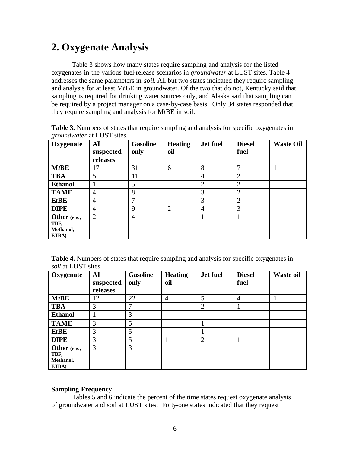# **2. Oxygenate Analysis**

Table 3 shows how many states require sampling and analysis for the listed oxygenates in the various fuel-release scenarios in *groundwater* at LUST sites. Table 4 addresses the same parameters in *soil*. All but two states indicated they require sampling and analysis for at least M*t*BE in groundwater. Of the two that do not, Kentucky said that sampling is required for drinking water sources only, and Alaska said that sampling can be required by a project manager on a case-by-case basis. Only 34 states responded that they require sampling and analysis for M*t*BE in soil.

| <i>groundwater</i> at LUST sites. |                              |                         |                       |          |                       |                  |  |  |  |
|-----------------------------------|------------------------------|-------------------------|-----------------------|----------|-----------------------|------------------|--|--|--|
| Oxygenate                         | All<br>suspected<br>releases | <b>Gasoline</b><br>only | <b>Heating</b><br>oil | Jet fuel | <b>Diesel</b><br>fuel | <b>Waste Oil</b> |  |  |  |
| $M$ t $B$ E                       | 7                            | 31                      | h                     |          |                       |                  |  |  |  |
| <b>TBA</b>                        |                              |                         |                       |          |                       |                  |  |  |  |
| <b>Ethanol</b>                    |                              |                         |                       |          |                       |                  |  |  |  |
| <b>TAME</b>                       |                              | 8                       |                       |          |                       |                  |  |  |  |
| <b>EtBE</b>                       | 4                            | −                       |                       |          | っ                     |                  |  |  |  |
| <b>DIPE</b>                       | 4                            | Q                       |                       |          |                       |                  |  |  |  |

**Table 3.** Numbers of states that require sampling and analysis for specific oxygenates in *groundwater* at LUST sites.

**Table 4.** Numbers of states that require sampling and analysis for specific oxygenates in *soil* at LUST sites.

2 4 1 1

| Oxygenate                                  | <b>All</b><br>suspected<br>releases | <b>Gasoline</b><br>only | <b>Heating</b><br>oil | Jet fuel       | <b>Diesel</b><br>fuel | <b>Waste oil</b> |
|--------------------------------------------|-------------------------------------|-------------------------|-----------------------|----------------|-----------------------|------------------|
| $M$ t $B$ E                                | 12                                  | 22                      | 4                     | 5              | $\overline{4}$        |                  |
| <b>TBA</b>                                 | 3                                   | ┑                       |                       | $\overline{2}$ |                       |                  |
| <b>Ethanol</b>                             |                                     | 3                       |                       |                |                       |                  |
| <b>TAME</b>                                | 3                                   | 5                       |                       |                |                       |                  |
| <b>EtBE</b>                                | 3                                   | 5                       |                       |                |                       |                  |
| <b>DIPE</b>                                | 3                                   | 5                       |                       | $\overline{2}$ |                       |                  |
| Other (e.g.,<br>TBF,<br>Methanol,<br>ETBA) | 3                                   | 3                       |                       |                |                       |                  |

#### **Sampling Frequency**

**Other (e.g., TBF, Methanol, ETBA)**

Tables 5 and 6 indicate the percent of the time states request oxygenate analysis of groundwater and soil at LUST sites. Forty-one states indicated that they request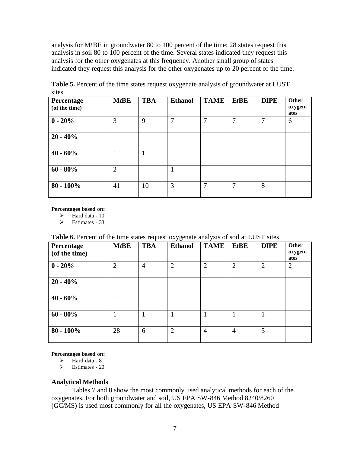analysis for M*t*BE in groundwater 80 to 100 percent of the time; 28 states request this analysis in soil 80 to 100 percent of the time. Several states indicated they request this analysis for the other oxygenates at this frequency. Another small group of states indicated they request this analysis for the other oxygenates up to 20 percent of the time.

| Percentage<br>(of the time) | $M$ t $B$ E    | <b>TBA</b> | <b>Ethanol</b> | <b>TAME</b> | <b>EtBE</b> | <b>DIPE</b>  | Other<br>oxygen-<br>ates |
|-----------------------------|----------------|------------|----------------|-------------|-------------|--------------|--------------------------|
| $0 - 20%$                   | 3              | 9          | 7              | 7           | 7           | $\mathbf{7}$ | 6                        |
| $20 - 40\%$                 |                |            |                |             |             |              |                          |
| $40 - 60\%$                 |                |            |                |             |             |              |                          |
| $60 - 80\%$                 | $\overline{2}$ |            | 1              |             |             |              |                          |
| $80 - 100\%$                | 41             | 10         | 3              | 7           | 7           | 8            |                          |

Table 5. Percent of the time states request oxygenate analysis of groundwater at LUST sites.

**Percentages based on:**

 $\blacktriangleright$  Hard data - 10

 $\triangleright$  Estimates - 33

#### **Table 6.** Percent of the time states request oxygenate analysis of soil at LUST sites.

| Percentage<br>(of the time) | $M$ t $B$ E    | <b>TBA</b>     | <b>Ethanol</b> | <b>TAME</b>    | <b>EtBE</b>    | <b>DIPE</b>    | Other<br>oxygen-<br>ates |
|-----------------------------|----------------|----------------|----------------|----------------|----------------|----------------|--------------------------|
| $0 - 20%$                   | $\overline{2}$ | $\overline{4}$ | $\overline{2}$ | $\overline{2}$ | $\overline{2}$ | $\overline{2}$ | $\overline{2}$           |
| $20 - 40\%$                 |                |                |                |                |                |                |                          |
| $40 - 60\%$                 |                |                |                |                |                |                |                          |
| $60 - 80\%$                 |                |                | 1              |                |                |                |                          |
| $80 - 100\%$                | 28             | 6              | $\overline{2}$ | $\overline{4}$ | $\overline{4}$ | 5              |                          |

**Percentages based on:**

- $\triangleright$  Hard data 8
- $\triangleright$  Estimates 20

#### **Analytical Methods**

Tables 7 and 8 show the most commonly used analytical methods for each of the oxygenates. For both groundwater and soil, US EPA SW-846 Method 8240/8260 (GC/MS) is used most commonly for all the oxygenates, US EPA SW-846 Method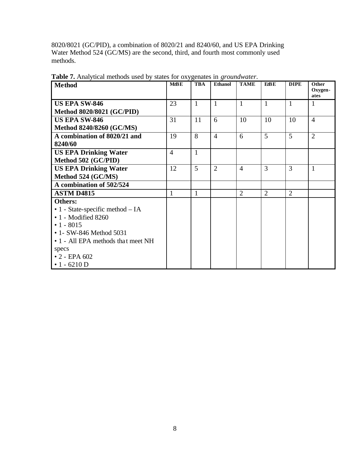8020/8021 (GC/PID), a combination of 8020/21 and 8240/60, and US EPA Drinking Water Method 524 (GC/MS) are the second, third, and fourth most commonly used methods.

| <b>Method</b>                       | MtB E          | <b>TBA</b>   | Ethanol        | <b>TAME</b>    | <b>EZBE</b>    | <b>DIPE</b>    | Other<br>Oxygen- |
|-------------------------------------|----------------|--------------|----------------|----------------|----------------|----------------|------------------|
|                                     |                |              |                |                |                |                | ates             |
| <b>US EPA SW-846</b>                | 23             | $\mathbf{1}$ | $\mathbf{1}$   | $\mathbf{1}$   | $\mathbf{1}$   | $\mathbf{1}$   | 1                |
| <b>Method 8020/8021 (GC/PID)</b>    |                |              |                |                |                |                |                  |
| <b>US EPA SW-846</b>                | 31             | 11           | 6              | 10             | 10             | 10             | $\overline{4}$   |
| <b>Method 8240/8260 (GC/MS)</b>     |                |              |                |                |                |                |                  |
| A combination of 8020/21 and        | 19             | 8            | $\overline{4}$ | 6              | 5              | 5              | $\overline{2}$   |
| 8240/60                             |                |              |                |                |                |                |                  |
| <b>US EPA Drinking Water</b>        | $\overline{4}$ | $\mathbf{1}$ |                |                |                |                |                  |
| Method 502 (GC/PID)                 |                |              |                |                |                |                |                  |
| <b>US EPA Drinking Water</b>        | 12             | 5            | $\overline{2}$ | $\overline{4}$ | 3              | 3              | 1                |
| Method 524 (GC/MS)                  |                |              |                |                |                |                |                  |
| A combination of 502/524            |                |              |                |                |                |                |                  |
| <b>ASTM D4815</b>                   | $\mathbf{1}$   | 1            |                | $\overline{2}$ | $\overline{2}$ | $\overline{2}$ |                  |
| Others:                             |                |              |                |                |                |                |                  |
| • 1 - State-specific method $- I A$ |                |              |                |                |                |                |                  |
| $\cdot$ 1 - Modified 8260           |                |              |                |                |                |                |                  |
| $\cdot$ 1 - 8015                    |                |              |                |                |                |                |                  |
| • 1 - SW-846 Method 5031            |                |              |                |                |                |                |                  |
| • 1 - All EPA methods that meet NH  |                |              |                |                |                |                |                  |
| specs                               |                |              |                |                |                |                |                  |
| $\cdot$ 2 - EPA 602                 |                |              |                |                |                |                |                  |
| $\cdot$ 1 - 6210 D                  |                |              |                |                |                |                |                  |

**Table 7.** Analytical methods used by states for oxygenates in *groundwater*.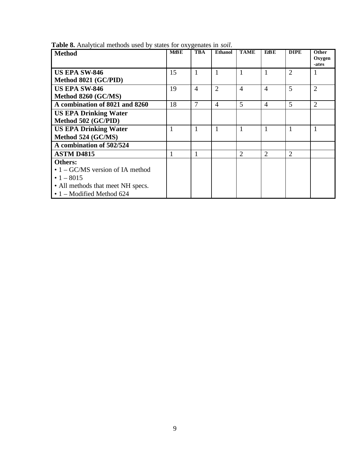| <b>Method</b>                            | ັບ<br>MtBE | <b>TBA</b>     | <b>Ethanol</b> | <b>TAME</b>    | <b>E</b> tBE   | <b>DIPE</b>    | Other<br>Oxygen<br>-ates |
|------------------------------------------|------------|----------------|----------------|----------------|----------------|----------------|--------------------------|
| <b>US EPA SW-846</b>                     | 15         |                | 1              |                | 1              | $\overline{2}$ |                          |
| Method 8021 (GC/PID)                     |            |                |                |                |                |                |                          |
| <b>US EPA SW-846</b>                     | 19         | $\overline{4}$ | $\overline{2}$ | $\overline{4}$ | $\overline{4}$ | 5              | $\overline{2}$           |
| Method 8260 (GC/MS)                      |            |                |                |                |                |                |                          |
| A combination of 8021 and 8260           | 18         | 7              | $\overline{4}$ | 5              | $\overline{4}$ | 5              | $\overline{2}$           |
| <b>US EPA Drinking Water</b>             |            |                |                |                |                |                |                          |
| Method 502 (GC/PID)                      |            |                |                |                |                |                |                          |
| <b>US EPA Drinking Water</b>             | 1          | $\mathbf{1}$   | 1              | $\mathbf{1}$   | 1              | 1              | 1                        |
| Method 524 (GC/MS)                       |            |                |                |                |                |                |                          |
| A combination of 502/524                 |            |                |                |                |                |                |                          |
| <b>ASTM D4815</b>                        |            |                |                | $\overline{2}$ | $\overline{2}$ | $\overline{2}$ |                          |
| Others:                                  |            |                |                |                |                |                |                          |
| $\bullet$ 1 – GC/MS version of IA method |            |                |                |                |                |                |                          |
| • $1 - 8015$                             |            |                |                |                |                |                |                          |
| • All methods that meet NH specs.        |            |                |                |                |                |                |                          |
| $\cdot$ 1 – Modified Method 624          |            |                |                |                |                |                |                          |

**Table 8.** Analytical methods used by states for oxygenates in *soil*.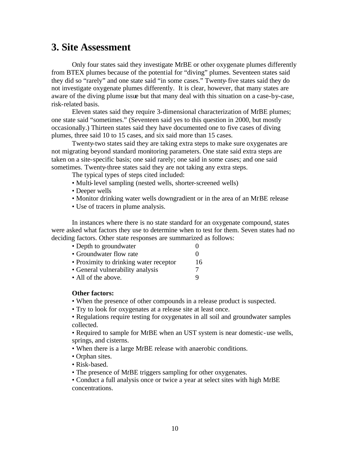### **3. Site Assessment**

Only four states said they investigate M*t*BE or other oxygenate plumes differently from BTEX plumes because of the potential for "diving" plumes. Seventeen states said they did so "rarely" and one state said "in some cases." Twenty-five states said they do not investigate oxygenate plumes differently. It is clear, however, that many states are aware of the diving plume issue but that many deal with this situation on a case-by-case, risk-related basis.

Eleven states said they require 3-dimensional characterization of M*t*BE plumes; one state said "sometimes." (Seventeen said yes to this question in 2000, but mostly occasionally.) Thirteen states said they have documented one to five cases of diving plumes, three said 10 to 15 cases, and six said more than 15 cases.

Twenty-two states said they are taking extra steps to make sure oxygenates are not migrating beyond standard monitoring parameters. One state said extra steps are taken on a site-specific basis; one said rarely; one said in some cases; and one said sometimes. Twenty-three states said they are not taking any extra steps.

The typical types of steps cited included:

- Multi-level sampling (nested wells, shorter-screened wells)
- Deeper wells
- Monitor drinking water wells downgradient or in the area of an M*t*BE release
- Use of tracers in plume analysis.

In instances where there is no state standard for an oxygenate compound, states were asked what factors they use to determine when to test for them. Seven states had no deciding factors. Other state responses are summarized as follows:

| • Depth to groundwater                 |                   |
|----------------------------------------|-------------------|
| • Groundwater flow rate                | $\mathbf{\Omega}$ |
| • Proximity to drinking water receptor | 16                |
| • General vulnerability analysis       |                   |
| • All of the above.                    |                   |

#### **Other factors:**

- When the presence of other compounds in a release product is suspected.
- Try to look for oxygenates at a release site at least once.
- Regulations require testing for oxygenates in all soil and groundwater samples collected.
- Required to sample for M*t*BE when an UST system is near domestic-use wells, springs, and cisterns.
- When there is a large M*t*BE release with anaerobic conditions.
- Orphan sites.
- Risk-based.
- The presence of M*t*BE triggers sampling for other oxygenates.
- Conduct a full analysis once or twice a year at select sites with high M*t*BE concentrations.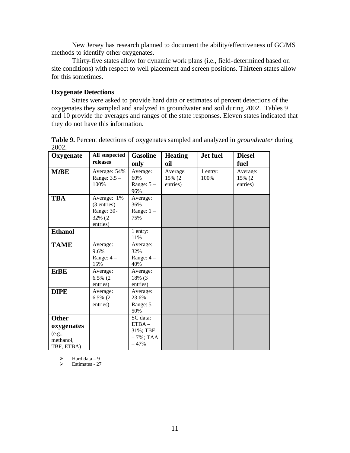New Jersey has research planned to document the ability/effectiveness of GC/MS methods to identify other oxygenates.

Thirty-five states allow for dynamic work plans (i.e., field-determined based on site conditions) with respect to well placement and screen positions. Thirteen states allow for this sometimes.

#### **Oxygenate Detections**

States were asked to provide hard data or estimates of percent detections of the oxygenates they sampled and analyzed in groundwater and soil during 2002. Tables 9 and 10 provide the averages and ranges of the state responses. Eleven states indicated that they do not have this information.

| Oxygenate                                                       | All suspected                                                  | <b>Gasoline</b>                                            | <b>Heating</b>                 | <b>Jet fuel</b>  | <b>Diesel</b>                  |
|-----------------------------------------------------------------|----------------------------------------------------------------|------------------------------------------------------------|--------------------------------|------------------|--------------------------------|
|                                                                 | releases                                                       | only                                                       | oil                            |                  | fuel                           |
| $M$ t $B$ E                                                     | Average: 54%<br>Range: $3.5 -$<br>100%                         | Average:<br>60%<br>Range: $5 -$<br>96%                     | Average:<br>15% (2<br>entries) | 1 entry:<br>100% | Average:<br>15% (2<br>entries) |
| <b>TBA</b>                                                      | Average: 1%<br>(3 entries)<br>Range: 30-<br>32% (2<br>entries) | Average:<br>36%<br>Range: $1 -$<br>75%                     |                                |                  |                                |
| <b>Ethanol</b>                                                  |                                                                | 1 entry:<br>11%                                            |                                |                  |                                |
| <b>TAME</b>                                                     | Average:<br>9.6%<br>Range: $4-$<br>15%                         | Average:<br>32%<br>Range: $4-$<br>40%                      |                                |                  |                                |
| <b>EtBE</b>                                                     | Average:<br>$6.5\%$ (2)<br>entries)                            | Average:<br>18% (3<br>entries)                             |                                |                  |                                |
| <b>DIPE</b>                                                     | Average:<br>6.5% (2<br>entries)                                | Average:<br>23.6%<br>Range: $5 -$<br>50%                   |                                |                  |                                |
| <b>Other</b><br>oxygenates<br>(e.g.,<br>methanol,<br>TBF, ETBA) |                                                                | SC data:<br>$ETBA -$<br>31%; TBF<br>$-7\%$ ; TAA<br>$-47%$ |                                |                  |                                |

**Table 9.** Percent detections of oxygenates sampled and analyzed in *groundwater* during 2002.

 $\geq$  Hard data – 9<br> $\geq$  Estimates - 27

Estimates - 27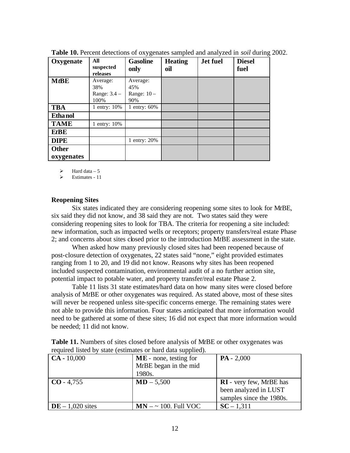| Oxygenate                  | All<br>suspected<br>releases              | <b>Gasoline</b><br>only                 | <b>Heating</b><br>oil | Jet fuel | <b>Diesel</b><br>fuel |
|----------------------------|-------------------------------------------|-----------------------------------------|-----------------------|----------|-----------------------|
| $M$ t $BE$                 | Average:<br>38%<br>Range: $3.4 -$<br>100% | Average:<br>45%<br>Range: $10 -$<br>90% |                       |          |                       |
| <b>TBA</b>                 | 1 entry: 10%                              | 1 entry: 60%                            |                       |          |                       |
| Etha nol                   |                                           |                                         |                       |          |                       |
| <b>TAME</b>                | 1 entry: 10%                              |                                         |                       |          |                       |
| <b>EtBE</b>                |                                           |                                         |                       |          |                       |
| <b>DIPE</b>                |                                           | 1 entry: $20\%$                         |                       |          |                       |
| <b>Other</b><br>oxygenates |                                           |                                         |                       |          |                       |

**Table 10.** Percent detections of oxygenates sampled and analyzed in *soil* during 2002.

Hard data  $-5$ 

ÿ Estimates - 11

#### **Reopening Sites**

Six states indicated they are considering reopening some sites to look for M*t*BE, six said they did not know, and 38 said they are not. Two states said they were considering reopening sites to look for TBA. The criteria for reopening a site included: new information, such as impacted wells or receptors; property transfers/real estate Phase 2; and concerns about sites closed prior to the introduction M*t*BE assessment in the state.

When asked how many previously closed sites had been reopened because of post-closure detection of oxygenates, 22 states said "none," eight provided estimates ranging from 1 to 20, and 19 did not know. Reasons why sites has been reopened included suspected contamination, environmental audit of a no further action site, potential impact to potable water, and property transfer/real estate Phase 2.

Table 11 lists 31 state estimates/hard data on how many sites were closed before analysis of M*t*BE or other oxygenates was required. As stated above, most of these sites will never be reopened unless site-specific concerns emerge. The remaining states were not able to provide this information. Four states anticipated that more information would need to be gathered at some of these sites; 16 did not expect that more information would be needed; 11 did not know.

| $\mathbf{CA} - 10,000$ | . .<br>$ME$ - none, testing for | $PA - 2,000$              |
|------------------------|---------------------------------|---------------------------|
|                        | $MtBE$ began in the mid         |                           |
|                        | 1980s.                          |                           |
| $\mid$ CO - 4,755      | $MD - 5,500$                    | $RI$ - very few, MtBE has |
|                        |                                 | been analyzed in LUST     |
|                        |                                 | samples since the 1980s.  |
| $DE - 1,020$ sites     | $MN - \sim 100$ . Full VOC      | $SC - 1,311$              |

| <b>Table 11.</b> Numbers of sites closed before analysis of MtBE or other oxygenates was |
|------------------------------------------------------------------------------------------|
| required listed by state (estimates or hard data supplied).                              |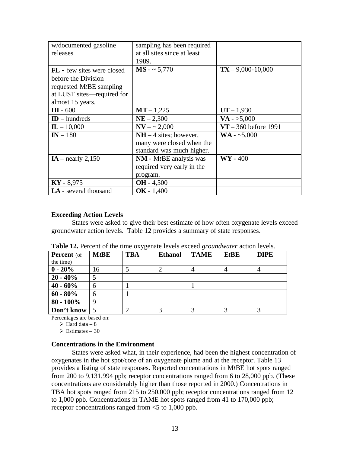| w/documented gasoline<br>releases | sampling has been required<br>at all sites since at least |                        |
|-----------------------------------|-----------------------------------------------------------|------------------------|
|                                   | 1989.                                                     |                        |
| <b>FL</b> - few sites were closed | $MS - 5,770$                                              | $TX - 9,000 - 10,000$  |
| before the Division               |                                                           |                        |
| requested MtBE sampling           |                                                           |                        |
| at LUST sites—required for        |                                                           |                        |
| almost 15 years.                  |                                                           |                        |
| $HI - 600$                        | $MT - 1,225$                                              | $UT - 1,930$           |
| $ID$ – hundreds                   | $NE - 2,300$                                              | $VA - > 5,000$         |
| $\mathbf{L} - 10,000$             | $NV - \sim 2,000$                                         | $VT - 360$ before 1991 |
| $IN - 180$                        | $NH - 4$ sites; however,                                  | $WA - 5,000$           |
|                                   | many were closed when the                                 |                        |
|                                   | standard was much higher.                                 |                        |
| $IA$ – nearly 2,150               | $NM - MtBE$ analysis was                                  | $\mathbf{W}$ - 400     |
|                                   | required very early in the                                |                        |
|                                   | program.                                                  |                        |
| $KY - 8,975$                      | $OH - 4,500$                                              |                        |
| LA - several thousand             | $OK - 1,400$                                              |                        |

#### **Exceeding Action Levels**

States were asked to give their best estimate of how often oxygenate levels exceed groundwater action levels. Table 12 provides a summary of state responses.

| <b>Percent</b> (of | $M$ t $B$ E | <b>TBA</b> | <b>Ethanol</b> | <b>TAME</b> | $EtBE$ | <b>DIPE</b> |
|--------------------|-------------|------------|----------------|-------------|--------|-------------|
| the time)          |             |            |                |             |        |             |
| $0 - 20%$          | 16          |            |                |             |        |             |
| $20 - 40\%$        | 5           |            |                |             |        |             |
| $40 - 60\%$        | 6           |            |                |             |        |             |
| $60 - 80\%$        | 6           |            |                |             |        |             |
| $80 - 100\%$       | 9           |            |                |             |        |             |
| Don't know         |             |            |                |             |        |             |

|  |  |  |  |  |  |  | Table 12. Percent of the time oxygenate levels exceed groundwater action levels. |  |  |
|--|--|--|--|--|--|--|----------------------------------------------------------------------------------|--|--|
|--|--|--|--|--|--|--|----------------------------------------------------------------------------------|--|--|

Percentages are based on:

 $\triangleright$  Hard data – 8

 $\geq$  Estimates – 30

#### **Concentrations in the Environment**

States were asked what, in their experience, had been the highest concentration of oxygenates in the hot spot/core of an oxygenate plume and at the receptor. Table 13 provides a listing of state responses. Reported concentrations in M*t*BE hot spots ranged from 200 to 9,131,994 ppb; receptor concentrations ranged from 6 to 28,000 ppb. (These concentrations are considerably higher than those reported in 2000.) Concentrations in TBA hot spots ranged from 215 to 250,000 ppb; receptor concentrations ranged from 12 to 1,000 ppb. Concentrations in TAME hot spots ranged from 41 to 170,000 ppb; receptor concentrations ranged from <5 to 1,000 ppb.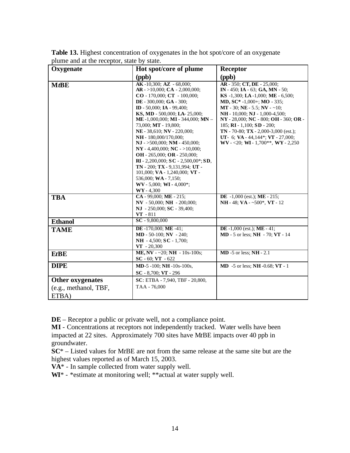| Oxygenate                      | Hot spot/core of plume                                                                                                                                                                                                                                                                                                                                                                                                                                                                                                                                                                                                                                              | Receptor                                                                                                                                                                                                                                                                                                                                                                                                                            |
|--------------------------------|---------------------------------------------------------------------------------------------------------------------------------------------------------------------------------------------------------------------------------------------------------------------------------------------------------------------------------------------------------------------------------------------------------------------------------------------------------------------------------------------------------------------------------------------------------------------------------------------------------------------------------------------------------------------|-------------------------------------------------------------------------------------------------------------------------------------------------------------------------------------------------------------------------------------------------------------------------------------------------------------------------------------------------------------------------------------------------------------------------------------|
|                                | (ppb)                                                                                                                                                                                                                                                                                                                                                                                                                                                                                                                                                                                                                                                               | (ppb)                                                                                                                                                                                                                                                                                                                                                                                                                               |
| $M$ t $BE$                     | $AK -10,300$ ; $AZ - 68,000$ ;<br>$AR - >10,000$ ; $CA - 2,000,000$ ;<br>$CO - 170,000$ ; $CT - 100,000$ ;<br>DE - 300,000; GA - 300;<br>ID - 50,000; IA - 99,400;<br>KS, MD - 500,000; LA- 25,000;<br>ME -1,000,000; MI - 344,000; MN -<br>73,000; MT - 19,800;<br>NE - 38,610; NV - 220,000;<br>NH - 180,000/170,000;<br>$NJ - >500,000; NM - 450,000;$<br>NY - 4,400,000; NC - >10,000;<br>OH - 265,000; OR - 250,000;<br><b>RI</b> - 2,200,000; <b>SC</b> - 2,500,00*; <b>SD</b> ,<br>$TN - 200$ ; $TX - 9,131,994$ ; UT -<br>101,000; VA - 1,240,000; VT -<br>536,000; WA - 7,150;<br>$\mathbf{W}$ V - 5,000; <b>WI</b> - 4,000 <sup>*</sup> ;<br>$WY - 4,300$ | AR - 350; CT, DE - 25,000;<br>IN - 450; IA - 63; GA, MN - 50;<br>KS $-1,300$ ; LA $-1,000$ ; ME $-6,500$ ;<br>MD, $SC^* -1,000+$ ; MO - 335;<br>MT - 30; NE - 5.5; NV - $\sim$ 10;<br>NH - 10,000; NJ - 1,000-4,500;<br>NY - 28,000; NC - 800; OH - 360; OR -<br>185; RI - 1,100; SD - 200;<br>$TN - 70-80$ ; $TX - 2,000-3,000$ (est.);<br>UT- 6; VA - 44, $144$ <sup>*</sup> ; VT - 27,000;<br>WV - <20; WI - 1,700**, WY - 2,250 |
| <b>TBA</b>                     | $CA - 99,000$ ; ME $- 215$ ;<br>NV - 50,000; NH - 200,000;<br>$NJ - 250,000; SC - 39,400;$<br>$VT - 811$                                                                                                                                                                                                                                                                                                                                                                                                                                                                                                                                                            | <b>DE</b> $-1,000$ (est.); <b>ME</b> $-215$ ;<br>NH - 48; VA - $\sim$ 500*, VT - 12                                                                                                                                                                                                                                                                                                                                                 |
| <b>Ethanol</b>                 | $SC - 9,800,000$                                                                                                                                                                                                                                                                                                                                                                                                                                                                                                                                                                                                                                                    |                                                                                                                                                                                                                                                                                                                                                                                                                                     |
| <b>TAME</b>                    | <b>DE</b> -170,000; <b>ME</b> -41;<br><b>MD</b> - 50-100; <b>NV</b> - 240;<br>$NH - 4,500$ ; $SC - 1,700$ ;<br>$VT - 20,300$                                                                                                                                                                                                                                                                                                                                                                                                                                                                                                                                        | DE $-1,000$ (est.); ME $-41$ ;<br><b>MD</b> - 5 or less; <b>NH</b> - 70; <b>VT</b> - 14                                                                                                                                                                                                                                                                                                                                             |
| EtBE                           | ME, NV - $\sim$ 20; NH - 10s-100s;<br>$SC - 60$ ; $VT - 622$                                                                                                                                                                                                                                                                                                                                                                                                                                                                                                                                                                                                        | $MD - 5$ or less; $NH - 2.1$                                                                                                                                                                                                                                                                                                                                                                                                        |
| <b>DIPE</b>                    | $MD-5-100$ ; $NH-10s-100s$ ,<br>$SC - 8,700; VT - 296$                                                                                                                                                                                                                                                                                                                                                                                                                                                                                                                                                                                                              | <b>MD</b> -5 or less; <b>NH</b> -0.68; <b>VT</b> - 1                                                                                                                                                                                                                                                                                                                                                                                |
| <b>Other oxygenates</b>        | SC: ETBA - 7,940, TBF - 20,800,                                                                                                                                                                                                                                                                                                                                                                                                                                                                                                                                                                                                                                     |                                                                                                                                                                                                                                                                                                                                                                                                                                     |
| (e.g., methanol, TBF,<br>ETBA) | TAA - 76,000                                                                                                                                                                                                                                                                                                                                                                                                                                                                                                                                                                                                                                                        |                                                                                                                                                                                                                                                                                                                                                                                                                                     |

**Table 13.** Highest concentration of oxygenates in the hot spot/core of an oxygenate plume and at the receptor, state by state.

**DE** – Receptor a public or private well, not a compliance point.

**MI** - Concentrations at receptors not independently tracked. Water wells have been impacted at 22 sites. Approximately 700 sites have M*t*BE impacts over 40 ppb in groundwater.

**SC**\* – Listed values for M*t*BE are not from the same release at the same site but are the highest values reported as of March 15, 2003.

**VA**\* - In sample collected from water supply well.

WI<sup>\*</sup> - \*estimate at monitoring well; \*\*actual at water supply well.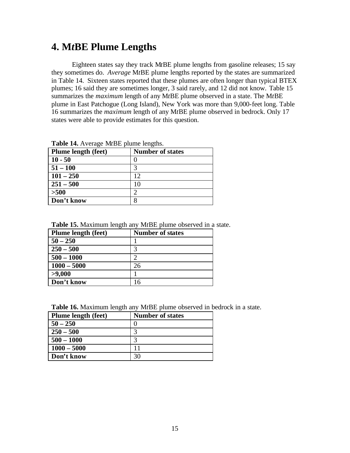## **4. M***t***BE Plume Lengths**

Eighteen states say they track M*t*BE plume lengths from gasoline releases; 15 say they sometimes do. *Average* M*t*BE plume lengths reported by the states are summarized in Table 14.Sixteen states reported that these plumes are often longer than typical BTEX plumes; 16 said they are sometimes longer, 3 said rarely, and 12 did not know. Table 15 summarizes the *maximum* length of any M*t*BE plume observed in a state. The M*t*BE plume in East Patchogue (Long Island), New York was more than 9,000-feet long. Table 16 summarizes the *maximum* length of any M*t*BE plume observed in bedrock. Only 17 states were able to provide estimates for this question.

| <b>Table 17.</b> <i>IXVERGE MEDLE profile forgula.</i> |                         |  |  |  |
|--------------------------------------------------------|-------------------------|--|--|--|
| <b>Plume length (feet)</b>                             | <b>Number of states</b> |  |  |  |
| $10 - 50$                                              |                         |  |  |  |
| $51 - 100$                                             |                         |  |  |  |
| $101 - 250$                                            | 12                      |  |  |  |
| $251 - 500$                                            | 10                      |  |  |  |
| >500                                                   | $\mathcal{D}$           |  |  |  |
| Don't know                                             |                         |  |  |  |

**Table 14.** Average M*t*BE plume lengths.

**Table 15.** Maximum length any M*t*BE plume observed in a state.

| Plume length (feet) | <b>Number of states</b> |
|---------------------|-------------------------|
| $50 - 250$          |                         |
| $250 - 500$         |                         |
| $500 - 1000$        |                         |
| $1000 - 5000$       | 26                      |
| >9,000              |                         |
| Don't know          |                         |

| <b>Plume length (feet)</b> | <b>Number of states</b> |
|----------------------------|-------------------------|
| $50 - 250$                 |                         |
| $250 - 500$                |                         |
| $500 - 1000$               |                         |
| $1000 - 5000$              | 11                      |
| Don't know                 | 30                      |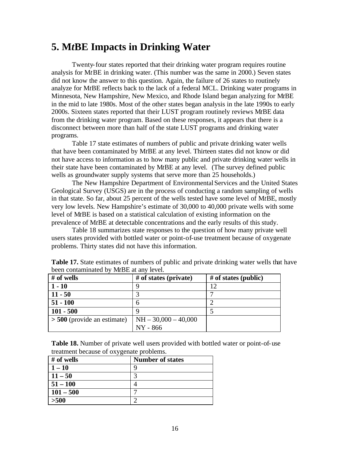### **5. M***t***BE Impacts in Drinking Water**

Twenty-four states reported that their drinking water program requires routine analysis for M*t*BE in drinking water. (This number was the same in 2000.) Seven states did not know the answer to this question. Again, the failure of 26 states to routinely analyze for M*t*BE reflects back to the lack of a federal MCL. Drinking water programs in Minnesota, New Hampshire, New Mexico, and Rhode Island began analyzing for M*t*BE in the mid to late 1980s. Most of the other states began analysis in the late 1990s to early 2000s. Sixteen states reported that their LUST program routinely reviews M*t*BE data from the drinking water program. Based on these responses, it appears that there is a disconnect between more than half of the state LUST programs and drinking water programs.

Table 17 state estimates of numbers of public and private drinking water wells that have been contaminated by M*t*BE at any level. Thirteen states did not know or did not have access to information as to how many public and private drinking water wells in their state have been contaminated by M*t*BE at any level.(The survey defined public wells as groundwater supply systems that serve more than 25 households.)

The New Hampshire Department of Environmental Services and the United States Geological Survey (USGS) are in the process of conducting a random sampling of wells in that state. So far, about 25 percent of the wells tested have some level of M*t*BE, mostly very low levels. New Hampshire's estimate of 30,000 to 40,000 private wells with some level of M*t*BE is based on a statistical calculation of existing information on the prevalence of M*t*BE at detectable concentrations and the early results of this study.

Table 18 summarizes state responses to the question of how many private well users states provided with bottled water or point-of-use treatment because of oxygenate problems. Thirty states did not have this information.

| # of wells                    | $#$ of states (private) | $#$ of states (public) |
|-------------------------------|-------------------------|------------------------|
| $1 - 10$                      |                         | 12                     |
| $11 - 50$                     |                         |                        |
| $51 - 100$                    | h                       |                        |
| $101 - 500$                   |                         |                        |
| $> 500$ (provide an estimate) | $NH - 30,000 - 40,000$  |                        |
|                               | NY - 866                |                        |

**Table 17.** State estimates of numbers of public and private drinking water wells that have been contaminated by M*t*BE at any level.

**Table 18.** Number of private well users provided with bottled water or point-of-use treatment because of oxygenate problems.

| - -         |                         |
|-------------|-------------------------|
| # of wells  | <b>Number of states</b> |
| $1 - 10$    |                         |
| $11 - 50$   |                         |
| $51 - 100$  |                         |
| $101 - 500$ |                         |
| >500        |                         |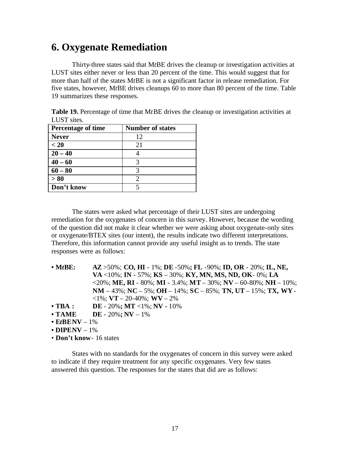# **6. Oxygenate Remediation**

Thirty-three states said that M*t*BE drives the cleanup or investigation activities at LUST sites either never or less than 20 percent of the time. This would suggest that for more than half of the states M*t*BE is not a significant factor in release remediation. For five states, however, M*t*BE drives cleanups 60 to more than 80 percent of the time. Table 19 summarizes these responses.

| <b>Percentage of time</b> | <b>Number of states</b> |
|---------------------------|-------------------------|
| <b>Never</b>              | 12                      |
| < 20                      | 21                      |
| $20 - 40$                 |                         |
| $40 - 60$                 |                         |
| $60 - 80$                 |                         |
| > 80                      |                         |
| Don't know                |                         |

**Table 19.** Percentage of time that M*t*BE drives the cleanup or investigation activities at LUST sites.

The states were asked what percentage of their LUST sites are undergoing remediation for the oxygenates of concern in this survey. However, because the wording of the question did not make it clear whether we were asking about oxygenate-only sites or oxygenate/BTEX sites (our intent), the results indicate two different interpretations. Therefore, this information cannot provide any useful insight as to trends. The state responses were as follows:

| $\bullet$ MtBE:                           | $AZ > 50\%$ ; CO, HI - 1%; DE -50%; FL -90%; ID, OR - 20%; IL, NE,                         |
|-------------------------------------------|--------------------------------------------------------------------------------------------|
|                                           | <b>VA</b> <10%; <b>IN</b> - 57%; <b>KS</b> – 30%; <b>KY, MN, MS, ND, OK</b> -0%; <b>LA</b> |
|                                           | <20%; ME, RI - 80%; MI - 3.4%; MT - 30%; NV - 60-80%; NH - 10%;                            |
|                                           | NM $-43\%$ ; NC $-5\%$ ; OH $-14\%$ ; SC $-85\%$ ; TN, UT $-15\%$ ; TX, WY -               |
|                                           | $\langle 1\% : \mathbf{VT} - 20 - 40\% : \mathbf{W} \mathbf{V} - 2\% \rangle$              |
| $\cdot$ TBA :                             | <b>DE</b> - 20%; <b>MT</b> <1%; <b>NV</b> - 10%                                            |
| $\bullet$ TAME                            | <b>DE</b> - 20%; <b>NV</b> - 1%                                                            |
| $\cdot$ EtBENV – 1%                       |                                                                                            |
| $\cdot$ DIPENV – 1%                       |                                                                                            |
| $\cdot$ Day <sup>1</sup> linear 16 states |                                                                                            |

• **Don't know**- 16 states

States with no standards for the oxygenates of concern in this survey were asked to indicate if they require treatment for any specific oxygenates. Very few states answered this question. The responses for the states that did are as follows: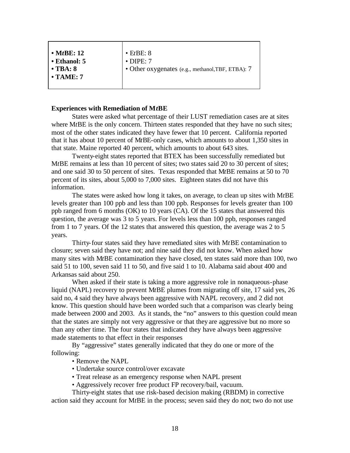| $\bullet$ EtBE: 8<br>$\bullet$ MtBE: 12<br>$\cdot$ DIPE: 7<br>• Ethanol: 5<br>• Other oxygenates (e.g., methanol, TBF, ETBA): 7<br>$\cdot$ TBA: 8<br>$\bullet$ TAME: 7 |
|------------------------------------------------------------------------------------------------------------------------------------------------------------------------|
|------------------------------------------------------------------------------------------------------------------------------------------------------------------------|

#### **Experiences with Remediation of M***t***BE**

States were asked what percentage of their LUST remediation cases are at sites where MtBE is the only concern. Thirteen states responded that they have no such sites; most of the other states indicated they have fewer that 10 percent. California reported that it has about 10 percent of M*t*BE-only cases, which amounts to about 1,350 sites in that state. Maine reported 40 percent, which amounts to about 643 sites.

Twenty-eight states reported that BTEX has been successfully remediated but M*t*BE remains at less than 10 percent of sites; two states said 20 to 30 percent of sites; and one said 30 to 50 percent of sites. Texas responded that M*t*BE remains at 50 to 70 percent of its sites, about 5,000 to 7,000 sites. Eighteen states did not have this information.

The states were asked how long it takes, on average, to clean up sites with M*t*BE levels greater than 100 ppb and less than 100 ppb. Responses for levels greater than 100 ppb ranged from 6 months (OK) to 10 years (CA). Of the 15 states that answered this question, the average was 3 to 5 years. For levels less than 100 ppb, responses ranged from 1 to 7 years. Of the 12 states that answered this question, the average was 2 to 5 years.

Thirty-four states said they have remediated sites with M*t*BE contamination to closure; seven said they have not; and nine said they did not know. When asked how many sites with M*t*BE contamination they have closed, ten states said more than 100, two said 51 to 100, seven said 11 to 50, and five said 1 to 10. Alabama said about 400 and Arkansas said about 250.

When asked if their state is taking a more aggressive role in nonaqueous-phase liquid (NAPL) recovery to prevent M*t*BE plumes from migrating off site, 17 said yes, 26 said no, 4 said they have always been aggressive with NAPL recovery, and 2 did not know. This question should have been worded such that a comparison was clearly being made between 2000 and 2003. As it stands, the "no" answers to this question could mean that the states are simply not very aggressive or that they are aggressive but no more so than any other time. The four states that indicated they have always been aggressive made statements to that effect in their responses

By "aggressive" states generally indicated that they do one or more of the following:

• Remove the NAPL

- Undertake source control/over excavate
- Treat release as an emergency response when NAPL present
- Aggressively recover free product FP recovery/bail, vacuum.

Thirty-eight states that use risk-based decision making (RBDM) in corrective

action said they account for M*t*BE in the process; seven said they do not; two do not use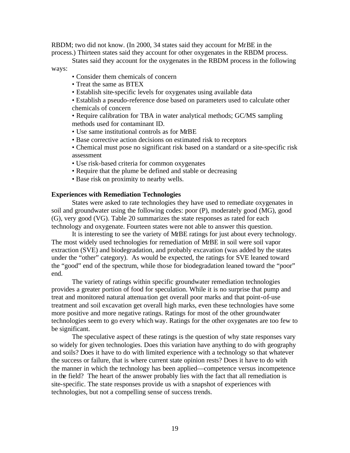RBDM; two did not know. (In 2000, 34 states said they account for M*t*BE in the process.) Thirteen states said they account for other oxygenates in the RBDM process.

States said they account for the oxygenates in the RBDM process in the following ways:

- Consider them chemicals of concern
- Treat the same as BTEX
- Establish site-specific levels for oxygenates using available data

• Establish a pseudo-reference dose based on parameters used to calculate other chemicals of concern

• Require calibration for TBA in water analytical methods; GC/MS sampling methods used for contaminant ID.

- Use same institutional controls as for M*t*BE
- Base corrective action decisions on estimated risk to receptors
- Chemical must pose no significant risk based on a standard or a site-specific risk assessment
- Use risk-based criteria for common oxygenates
- Require that the plume be defined and stable or decreasing
- Base risk on proximity to nearby wells.

#### **Experiences with Remediation Technologies**

States were asked to rate technologies they have used to remediate oxygenates in soil and groundwater using the following codes: poor (P), moderately good (MG), good (G), very good (VG). Table 20 summarizes the state responses as rated for each technology and oxygenate. Fourteen states were not able to answer this question.

It is interesting to see the variety of M*t*BE ratings for just about every technology. The most widely used technologies for remediation of M*t*BE in soil were soil vapor extraction (SVE) and biodegradation, and probably excavation (was added by the states under the "other" category). As would be expected, the ratings for SVE leaned toward the "good" end of the spectrum, while those for biodegradation leaned toward the "poor" end.

The variety of ratings within specific groundwater remediation technologies provides a greater portion of food for speculation. While it is no surprise that pump and treat and monitored natural attenua tion get overall poor marks and that point-of-use treatment and soil excavation get overall high marks, even these technologies have some more positive and more negative ratings. Ratings for most of the other groundwater technologies seem to go every which way. Ratings for the other oxygenates are too few to be significant.

The speculative aspect of these ratings is the question of why state responses vary so widely for given technologies. Does this variation have anything to do with geography and soils? Does it have to do with limited experience with a technology so that whatever the success or failure, that is where current state opinion rests? Does it have to do with the manner in which the technology has been applied—competence versus incompetence in the field? The heart of the answer probably lies with the fact that all remediation is site-specific. The state responses provide us with a snapshot of experiences with technologies, but not a compelling sense of success trends.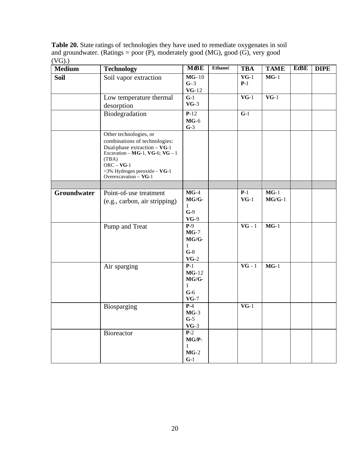**Table 20.** State ratings of technologies they have used to remediate oxygenates in soil and groundwater. (Ratings = poor (P), moderately good (MG), good (G), very good  $(VG)$ .)

| Medium             | <b>Technology</b>                                                                                                                                                                                            | <b>MtBE</b>                                                                               | Ethanol | <b>TBA</b>                 | <b>TAME</b>        | EtBE | <b>DIPE</b> |
|--------------------|--------------------------------------------------------------------------------------------------------------------------------------------------------------------------------------------------------------|-------------------------------------------------------------------------------------------|---------|----------------------------|--------------------|------|-------------|
| <b>Soil</b>        | Soil vapor extraction                                                                                                                                                                                        | $MG-10$<br>$G-3$<br>$VG-12$                                                               |         | $VG-1$<br>$P-1$            | $MG-1$             |      |             |
|                    | Low temperature thermal<br>desorption                                                                                                                                                                        | $G-1$<br>$VG-3$                                                                           |         | $VG-1$                     | $VG-1$             |      |             |
|                    | Biodegradation                                                                                                                                                                                               | $P-12$<br>$MG-6$<br>$G-3$                                                                 |         | $G-1$                      |                    |      |             |
|                    | Other technologies, or<br>combinations of technologies:<br>Dual-phase extraction - VG-1<br>Excavation - MG-1, VG-6; VG - 1<br>(TBA)<br>$ORC - VG-1$<br><3% Hydrogen peroxide - VG-1<br>Overexcavation - VG-1 |                                                                                           |         |                            |                    |      |             |
|                    |                                                                                                                                                                                                              |                                                                                           |         |                            |                    |      |             |
| <b>Groundwater</b> | Point-of-use treatment<br>(e.g., carbon, air stripping)                                                                                                                                                      | $MG-4$<br>$MG/G$ -<br>1<br>$G-9$<br>$VG-9$                                                |         | $P-1$<br>$VG-1$            | $MG-1$<br>$MG/G-1$ |      |             |
|                    | Pump and Treat                                                                                                                                                                                               | $\overline{P-9}$<br>$MG-7$<br>$MG/G$ -<br>$\mathbf{1}$<br>$G-8$<br>$\mathbf{VG}\text{-}2$ |         | $\overline{\text{VG} - 1}$ | $MG-1$             |      |             |
|                    | Air sparging                                                                                                                                                                                                 | $P-1$<br>$MG-12$<br>$MG/G$ -<br>$\mathbf{1}$<br>$G-6$<br>$VG-7$                           |         | $VG - 1$                   | $MG-1$             |      |             |
|                    | Biosparging                                                                                                                                                                                                  | $P-4$<br>$MG-3$<br>$G-5$<br>$VG-3$                                                        |         | $VG-1$                     |                    |      |             |
|                    | Bioreactor                                                                                                                                                                                                   | $\overline{P-2}$<br>$MG/P-$<br>$\mathbf{1}$<br>$MG-2$<br>$G-1$                            |         |                            |                    |      |             |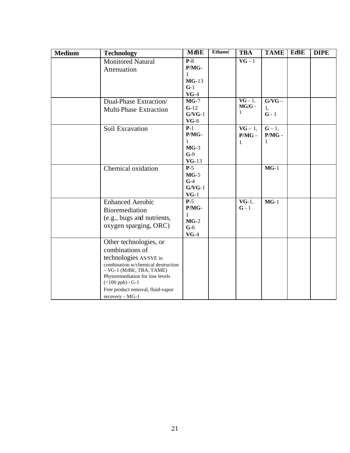| <b>Medium</b> | <b>Technology</b>                                                                                                                                                                                                                                          | <b>M</b> <sub>BE</sub>                                      | Ethanol | <b>TBA</b>                  | <b>TAME</b>               | EtBE | <b>DIPE</b> |
|---------------|------------------------------------------------------------------------------------------------------------------------------------------------------------------------------------------------------------------------------------------------------------|-------------------------------------------------------------|---------|-----------------------------|---------------------------|------|-------------|
|               | <b>Monitored Natural</b><br>Attenuation                                                                                                                                                                                                                    | $P-8$<br>P/MG-<br>1<br>$MG-13$<br>$G-1$<br>$VG-4$           |         | $VG - 1$                    |                           |      |             |
|               | Dual-Phase Extraction/<br><b>Multi-Phase Extraction</b>                                                                                                                                                                                                    | $MG-7$<br>$G-12$<br>$G/VG-1$<br>$VG-6$                      |         | $VG - 1$ ,<br>$MG/G$ -<br>1 | $G/VG -$<br>1,<br>$G - 1$ |      |             |
|               | Soil Excavation                                                                                                                                                                                                                                            | $P-1$<br>P/MG-<br>1<br>$MG-3$<br>$G-9$<br>$VG-13$           |         | $VG - 1$ ,<br>$P/MG -$<br>1 | $G-1,$<br>$P/MG$ -<br>1   |      |             |
|               | Chemical oxidation                                                                                                                                                                                                                                         | $P-5$<br>$MG-5$<br>$G-4$<br>$G/VG-1$<br>$VG-1$              |         |                             | $MG-1$                    |      |             |
|               | <b>Enhanced Aerobic</b><br>Bioremediation<br>(e.g., bugs and nutrients,<br>oxygen sparging, ORC)                                                                                                                                                           | $P-5$<br>P/MG-<br>$\mathbf{1}$<br>$MG-2$<br>$G-6$<br>$VG-4$ |         | $VG-1$ ,<br>$G - 1$         | $MG-1$                    |      |             |
|               | Other technologies, or<br>combinations of<br>technologies AS/SVE in<br>combination w/chemical destruction<br>$-$ VG-1 (MtBE, TBA, TAME)<br>Phytoremediation for low levels<br>$(<100$ ppb) - G-1<br>Free product removal, fluid-vapor<br>$recovery - MG-1$ |                                                             |         |                             |                           |      |             |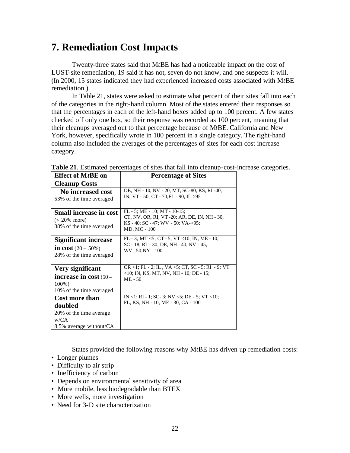## **7. Remediation Cost Impacts**

Twenty-three states said that M*t*BE has had a noticeable impact on the cost of LUST-site remediation, 19 said it has not, seven do not know, and one suspects it will. (In 2000, 15 states indicated they had experienced increased costs associated with M*t*BE remediation.)

In Table 21, states were asked to estimate what percent of their sites fall into each of the categories in the right-hand column. Most of the states entered their responses so that the percentages in each of the left-hand boxes added up to 100 percent. A few states checked off only one box, so their response was recorded as 100 percent, meaning that their cleanups averaged out to that percentage because of M*t*BE. California and New York, however, specifically wrote in 100 percent in a single category. The right-hand column also included the averages of the percentages of sites for each cost increase category.

| <b>Effect of MtBE on</b>                                                                       | <b>Percentage of Sites</b>                                                                                                            |  |  |  |  |
|------------------------------------------------------------------------------------------------|---------------------------------------------------------------------------------------------------------------------------------------|--|--|--|--|
| <b>Cleanup Costs</b>                                                                           |                                                                                                                                       |  |  |  |  |
| No increased cost<br>53% of the time averaged                                                  | DE, NH - 10; NV - 20; MT, SC-80; KS, RI -40;<br>IN, VT - 50; CT - 70; FL - 90; IL > 95                                                |  |  |  |  |
| <b>Small increase in cost</b><br>$(< 20\%$ more)<br>38% of the time averaged                   | $FL - 5$ ; ME - 10; MT - 10-15;<br>CT, NV, OR, RI, VT -20; AR, DE, IN, NH - 30;<br>KS - 40; SC - 47; WV - 50; VA->95;<br>MD, MO - 100 |  |  |  |  |
| <b>Significant increase</b><br>in cost $(20 - 50\%)$<br>28% of the time averaged               | FL - 3; MT <5; CT - 5; VT <10; IN, ME - 10;<br>$SC - 18$ ; RI $- 30$ ; DE, NH $- 40$ ; NV $- 45$ ;<br>WV - 50;NY - 100                |  |  |  |  |
| Very significant<br>increase in $cost(50 -$<br>100%)<br>10% of the time averaged               | OR <1; FL - 2; IL, VA <5; CT, SC - 5; RI - 9; VT<br>$<$ 10; IN, KS, MT, NV, NH - 10; DE - 15;<br>$ME - 50$                            |  |  |  |  |
| <b>Cost more than</b><br>doubled<br>20% of the time average<br>W/CA<br>8.5% average without/CA | IN <1; RI - 1; SC-3; NV <5; DE - 5; VT <10;<br>FL, KS, NH - 10; ME - 30; CA - 100                                                     |  |  |  |  |

**Table 21**. Estimated percentages of sites that fall into cleanup-cost-increase categories.

States provided the following reasons why M*t*BE has driven up remediation costs:

- Longer plumes
- Difficulty to air strip
- Inefficiency of carbon
- Depends on environmental sensitivity of area
- More mobile, less biodegradable than BTEX
- More wells, more investigation
- Need for 3-D site characterization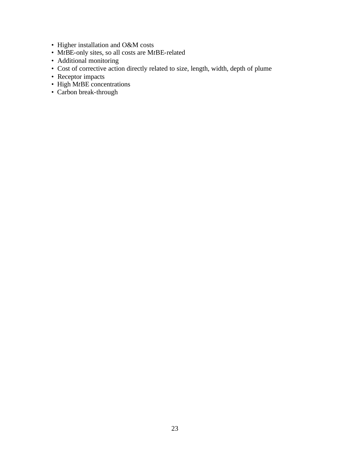- Higher installation and O&M costs
- M*t*BE-only sites, so all costs are M*t*BE-related
- Additional monitoring
- Cost of corrective action directly related to size, length, width, depth of plume
- Receptor impacts
- High M*t*BE concentrations
- Carbon break-through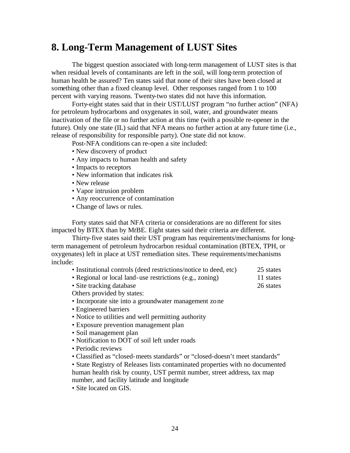### **8. Long-Term Management of LUST Sites**

The biggest question associated with long-term management of LUST sites is that when residual levels of contaminants are left in the soil, will long-term protection of human health be assured? Ten states said that none of their sites have been closed at something other than a fixed cleanup level. Other responses ranged from 1 to 100 percent with varying reasons. Twenty-two states did not have this information.

Forty-eight states said that in their UST/LUST program "no further action" (NFA) for petroleum hydrocarbons and oxygenates in soil, water, and groundwater means inactivation of the file or no further action at this time (with a possible re-opener in the future). Only one state (IL) said that NFA means no further action at any future time (i.e., release of responsibility for responsible party). One state did not know.

Post-NFA conditions can re-open a site included:

- New discovery of product
- Any impacts to human health and safety
- Impacts to receptors
- New information that indicates risk
- New release
- Vapor intrusion problem
- Any reoccurrence of contamination
- Change of laws or rules.

Forty states said that NFA criteria or considerations are no different for sites impacted by BTEX than by M*t*BE. Eight states said their criteria are different.

Thirty-five states said their UST program has requirements/mechanisms for longterm management of petroleum hydrocarbon residual contamination (BTEX, TPH, or oxygenates) left in place at UST remediation sites. These requirements/mechanisms include:

- Institutional controls (deed restrictions/notice to deed, etc) 25 states
- Regional or local land-use restrictions (e.g., zoning) 11 states
- Site tracking database 26 states

Others provided by states:

- Incorporate site into a groundwater management zone
- Engineered barriers
- Notice to utilities and well permitting authority
- Exposure prevention management plan
- Soil management plan
- Notification to DOT of soil left under roads
- Periodic reviews
- Classified as "closed-meets standards" or "closed-doesn't meet standards"

• State Registry of Releases lists contaminated properties with no documented human health risk by county, UST permit number, street address, tax map number, and facility latitude and longitude

• Site located on GIS.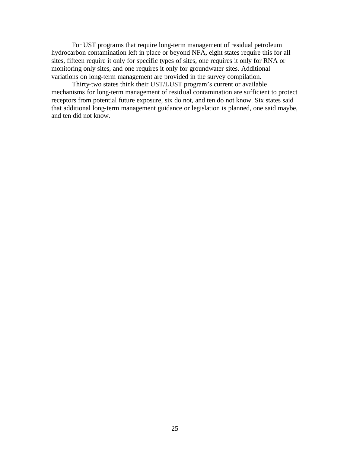For UST programs that require long-term management of residual petroleum hydrocarbon contamination left in place or beyond NFA, eight states require this for all sites, fifteen require it only for specific types of sites, one requires it only for RNA or monitoring only sites, and one requires it only for groundwater sites. Additional variations on long-term management are provided in the survey compilation.

Thirty-two states think their UST/LUST program's current or available mechanisms for long-term management of residual contamination are sufficient to protect receptors from potential future exposure, six do not, and ten do not know. Six states said that additional long-term management guidance or legislation is planned, one said maybe, and ten did not know.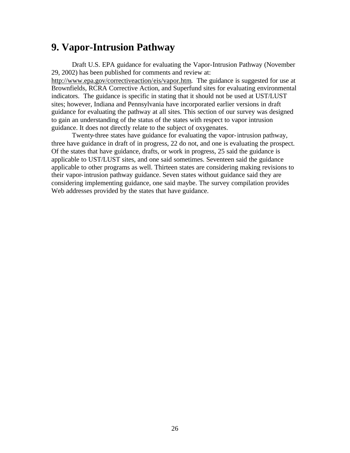### **9. Vapor-Intrusion Pathway**

Draft U.S. EPA guidance for evaluating the Vapor-Intrusion Pathway (November 29, 2002) has been published for comments and review at:

http://www.epa.gov/correctiveaction/eis/vapor.htm. The guidance is suggested for use at Brownfields, RCRA Corrective Action, and Superfund sites for evaluating environmental indicators. The guidance is specific in stating that it should not be used at UST/LUST sites; however, Indiana and Pennsylvania have incorporated earlier versions in draft guidance for evaluating the pathway at all sites. This section of our survey was designed to gain an understanding of the status of the states with respect to vapor intrusion guidance. It does not directly relate to the subject of oxygenates.

Twenty-three states have guidance for evaluating the vapor-intrusion pathway, three have guidance in draft of in progress, 22 do not, and one is evaluating the prospect. Of the states that have guidance, drafts, or work in progress, 25 said the guidance is applicable to UST/LUST sites, and one said sometimes. Seventeen said the guidance applicable to other programs as well. Thirteen states are considering making revisions to their vapor-intrusion pathway guidance. Seven states without guidance said they are considering implementing guidance, one said maybe. The survey compilation provides Web addresses provided by the states that have guidance.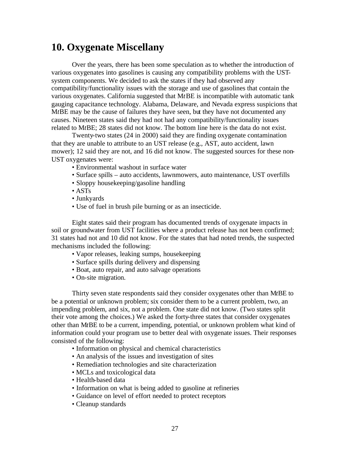### **10. Oxygenate Miscellany**

Over the years, there has been some speculation as to whether the introduction of various oxygenates into gasolines is causing any compatibility problems with the USTsystem components. We decided to ask the states if they had observed any compatibility/functionality issues with the storage and use of gasolines that contain the various oxygenates. California suggested that M*t*BE is incompatible with automatic tank gauging capacitance technology. Alabama, Delaware, and Nevada express suspicions that M*t*BE may be the cause of failures they have seen, but they have not documented any causes. Nineteen states said they had not had any compatibility/functionality issues related to M*t*BE; 28 states did not know. The bottom line here is the data do not exist.

Twenty-two states (24 in 2000) said they are finding oxygenate contamination that they are unable to attribute to an UST release (e.g., AST, auto accident, lawn mower); 12 said they are not, and 16 did not know. The suggested sources for these non-UST oxygenates were:

- Environmental washout in surface water
- Surface spills auto accidents, lawnmowers, auto maintenance, UST overfills
- Sloppy housekeeping/gasoline handling
- ASTs
- Junkyards
- Use of fuel in brush pile burning or as an insecticide.

Eight states said their program has documented trends of oxygenate impacts in soil or groundwater from UST facilities where a product release has not been confirmed; 31 states had not and 10 did not know. For the states that had noted trends, the suspected mechanisms included the following:

- Vapor releases, leaking sumps, housekeeping
- Surface spills during delivery and dispensing
- Boat, auto repair, and auto salvage operations
- On-site migration.

Thirty seven state respondents said they consider oxygenates other than M*t*BE to be a potential or unknown problem; six consider them to be a current problem, two, an impending problem, and six, not a problem. One state did not know. (Two states split their vote among the choices.) We asked the forty-three states that consider oxygenates other than M*t*BE to be a current, impending, potential, or unknown problem what kind of information could your program use to better deal with oxygenate issues. Their responses consisted of the following:

- Information on physical and chemical characteristics
- An analysis of the issues and investigation of sites
- Remediation technologies and site characterization
- MCLs and toxicological data
- Health-based data
- Information on what is being added to gasoline at refineries
- Guidance on level of effort needed to protect receptors
- Cleanup standards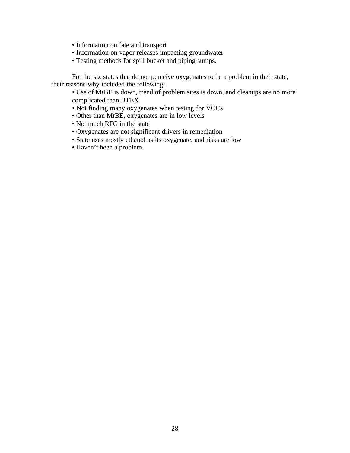- Information on fate and transport
- Information on vapor releases impacting groundwater
- Testing methods for spill bucket and piping sumps.

For the six states that do not perceive oxygenates to be a problem in their state, their reasons why included the following:

• Use of M*t*BE is down, trend of problem sites is down, and cleanups are no more complicated than BTEX

- Not finding many oxygenates when testing for VOCs
- Other than M*t*BE, oxygenates are in low levels
- Not much RFG in the state
- Oxygenates are not significant drivers in remediation
- State uses mostly ethanol as its oxygenate, and risks are low
- Haven't been a problem.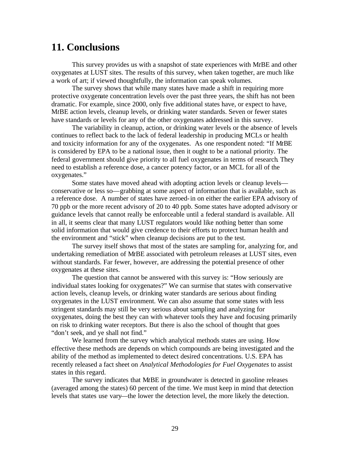## **11. Conclusions**

This survey provides us with a snapshot of state experiences with M*t*BE and other oxygenates at LUST sites. The results of this survey, when taken together, are much like a work of art; if viewed thoughtfully, the information can speak volumes.

The survey shows that while many states have made a shift in requiring more protective oxygenate concentration levels over the past three years, the shift has not been dramatic. For example, since 2000, only five additional states have, or expect to have, M*t*BE action levels, cleanup levels, or drinking water standards. Seven or fewer states have standards or levels for any of the other oxygenates addressed in this survey.

The variability in cleanup, action, or drinking water levels or the absence of levels continues to reflect back to the lack of federal leadership in producing MCLs or health and toxicity information for any of the oxygenates. As one respondent noted: "If M*t*BE is considered by EPA to be a national issue, then it ought to be a national priority. The federal government should give priority to all fuel oxygenates in terms of research. They need to establish a reference dose, a cancer potency factor, or an MCL for all of the oxygenates."

Some states have moved ahead with adopting action levels or cleanup levels conservative or less so—grabbing at some aspect of information that is available, such as a reference dose. A number of states have zeroed-in on either the earlier EPA advisory of 70 ppb or the more recent advisory of 20 to 40 ppb. Some states have adopted advisory or guidance levels that cannot really be enforceable until a federal standard is available. All in all, it seems clear that many LUST regulators would like nothing better than some solid information that would give credence to their efforts to protect human health and the environment and "stick" when cleanup decisions are put to the test.

The survey itself shows that most of the states are sampling for, analyzing for, and undertaking remediation of M*t*BE associated with petroleum releases at LUST sites, even without standards. Far fewer, however, are addressing the potential presence of other oxygenates at these sites.

The question that cannot be answered with this survey is: "How seriously are individual states looking for oxygenates?" We can surmise that states with conservative action levels, cleanup levels, or drinking water standards are serious about finding oxygenates in the LUST environment. We can also assume that some states with less stringent standards may still be very serious about sampling and analyzing for oxygenates, doing the best they can with whatever tools they have and focusing primarily on risk to drinking water receptors. But there is also the school of thought that goes "don't seek, and ye shall not find."

We learned from the survey which analytical methods states are using. How effective these methods are depends on which compounds are being investigated and the ability of the method as implemented to detect desired concentrations. U.S. EPA has recently released a fact sheet on *Analytical Methodologies for Fuel Oxygenates* to assist states in this regard.

The survey indicates that M*t*BE in groundwater is detected in gasoline releases (averaged among the states) 60 percent of the time. We must keep in mind that detection levels that states use vary—the lower the detection level, the more likely the detection.